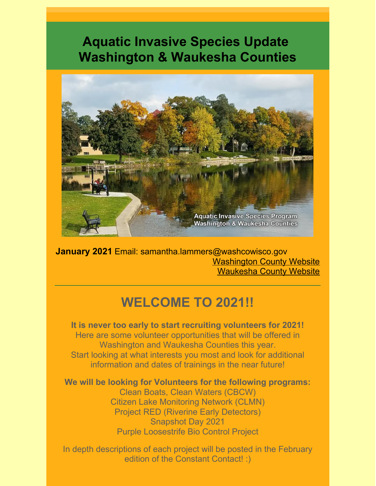## **Aquatic Invasive Species Update Washington & Waukesha Counties**



**January 2021** Email: samantha.lammers@washcowisco.gov [Washington](https://www.co.washington.wi.us/departments.iml?mdl=departments.mdl&ID=LCD) County Website [Waukesha](https://www.waukeshacounty.gov/ais/) County Website

## **WELCOME TO 2021!!**

**It is never too early to start recruiting volunteers for 2021!** Here are some volunteer opportunities that will be offered in Washington and Waukesha Counties this year. Start looking at what interests you most and look for additional information and dates of trainings in the near future!

**We will be looking for Volunteers for the following programs:**

Clean Boats, Clean Waters (CBCW) Citizen Lake Monitoring Network (CLMN) Project RED (Riverine Early Detectors) Snapshot Day 2021 Purple Loosestrife Bio Control Project

In depth descriptions of each project will be posted in the February edition of the Constant Contact! :)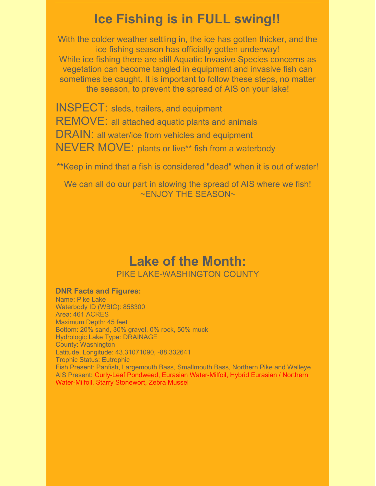## **Ice Fishing is in FULL swing!!**

With the colder weather settling in, the ice has gotten thicker, and the ice fishing season has officially gotten underway! While ice fishing there are still Aquatic Invasive Species concerns as vegetation can become tangled in equipment and invasive fish can sometimes be caught. It is important to follow these steps, no matter the season, to prevent the spread of AIS on your lake!

INSPECT: sleds, trailers, and equipment REMOVE: all attached aquatic plants and animals DRAIN: all water/ice from vehicles and equipment NEVER MOVE: plants or live\*\* fish from a waterbody

\*\*Keep in mind that a fish is considered "dead" when it is out of water!

We can all do our part in slowing the spread of AIS where we fish! ~ENJOY THE SEASON~

### **Lake of the Month:** PIKE LAKE-WASHINGTON COUNTY

#### **DNR Facts and Figures:**

Name: Pike Lake Waterbody ID (WBIC): 858300 Area: 461 ACRES Maximum Depth: 45 feet Bottom: 20% sand, 30% gravel, 0% rock, 50% muck Hydrologic Lake Type: DRAINAGE County: Washington Latitude, Longitude: 43.31071090, -88.332641 Trophic Status: Eutrophic Fish Present: Panfish, Largemouth Bass, Smallmouth Bass, Northern Pike and Walleye AIS Present: Curly-Leaf Pondweed, Eurasian Water-Milfoil, Hybrid Eurasian / Northern Water-Milfoil, Starry Stonewort, Zebra Mussel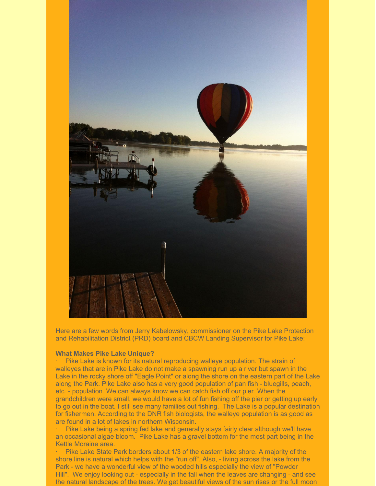

Here are a few words from Jerry Kabelowsky, commissioner on the Pike Lake Protection and Rehabilitation District (PRD) board and CBCW Landing Supervisor for Pike Lake:

#### **What Makes Pike Lake Unique?**

Pike Lake is known for its natural reproducing walleye population. The strain of walleyes that are in Pike Lake do not make a spawning run up a river but spawn in the Lake in the rocky shore off "Eagle Point" or along the shore on the eastern part of the Lake along the Park. Pike Lake also has a very good population of pan fish - bluegills, peach, etc. - population. We can always know we can catch fish off our pier. When the grandchildren were small, we would have a lot of fun fishing off the pier or getting up early to go out in the boat. I still see many families out fishing. The Lake is a popular destination for fishermen. According to the DNR fish biologists, the walleye population is as good as are found in a lot of lakes in northern Wisconsin.

Pike Lake being a spring fed lake and generally stays fairly clear although we'll have an occasional algae bloom. Pike Lake has a gravel bottom for the most part being in the Kettle Moraine area.

Pike Lake State Park borders about 1/3 of the eastern lake shore. A majority of the shore line is natural which helps with the "run off". Also, - living across the lake from the Park - we have a wonderful view of the wooded hills especially the view of "Powder Hill". We enjoy looking out - especially in the fall when the leaves are changing - and see the natural landscape of the trees. We get beautiful views of the sun rises or the full moon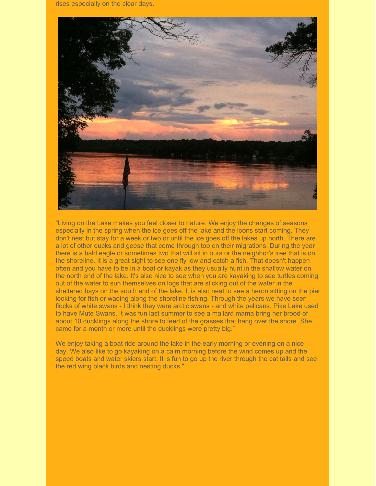rises especially on the clear days.



"Living on the Lake makes you feel closer to nature. We enjoy the changes of seasons especially in the spring when the ice goes off the lake and the loons start coming. They don't nest but stay for a week or two or until the ice goes off the lakes up north. There are a lot of other ducks and geese that come through too on their migrations. During the year there is a bald eagle or sometimes two that will sit in ours or the neighbor's tree that is on the shoreline. It is a great sight to see one fly low and catch a fish. That doesn't happen often and you have to be in a boat or kayak as they usually hunt in the shallow water on the north end of the lake. It's also nice to see when you are kayaking to see turtles coming out of the water to sun themselves on logs that are sticking out of the water in the sheltered bays on the south end of the lake. It is also neat to see a heron sitting on the pier looking for fish or wading along the shoreline fishing. Through the years we have seen flocks of white swans - I think they were arctic swans - and white pelicans. Pike Lake used to have Mute Swans. It was fun last summer to see a mallard mama bring her brood of about 10 ducklings along the shore to feed of the grasses that hang over the shore. She came for a month or more until the ducklings were pretty big."

We enjoy taking a boat ride around the lake in the early morning or evening on a nice day. We also like to go kayaking on a calm morning before the wind comes up and the speed boats and water skiers start. It is fun to go up the river through the cat tails and see the red wing black birds and nesting ducks."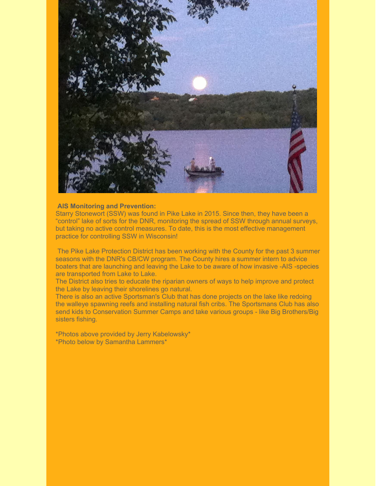

#### **AIS Monitoring and Prevention:**

Starry Stonewort (SSW) was found in Pike Lake in 2015. Since then, they have been a "control" lake of sorts for the DNR, monitoring the spread of SSW through annual surveys, but taking no active control measures. To date, this is the most effective management practice for controlling SSW in Wisconsin!

The Pike Lake Protection District has been working with the County for the past 3 summer seasons with the DNR's CB/CW program. The County hires a summer intern to advice boaters that are launching and leaving the Lake to be aware of how invasive -AIS -species are transported from Lake to Lake.

The District also tries to educate the riparian owners of ways to help improve and protect the Lake by leaving their shorelines go natural.

There is also an active Sportsman's Club that has done projects on the lake like redoing the walleye spawning reefs and installing natural fish cribs. The Sportsmans Club has also send kids to Conservation Summer Camps and take various groups - like Big Brothers/Big sisters fishing.

\*Photos above provided by Jerry Kabelowsky\* \*Photo below by Samantha Lammers\*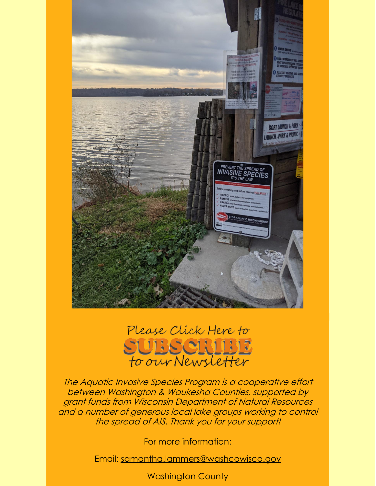

# Please Click Here to SUBSCRIBE<br>to our Newsletter

The Aquatic Invasive Species Program is <sup>a</sup> cooperative effort between Washington & Waukesha Counties, supported by grant funds from Wisconsin Department of Natural Resources and <sup>a</sup> number of generous local lake groups working to control the spread of AIS. Thank you for your support!

For more information:

Email: [samantha.lammers@washcowisco.gov](mailto:samantha.lammers@washcowisco.gov)

Washington County